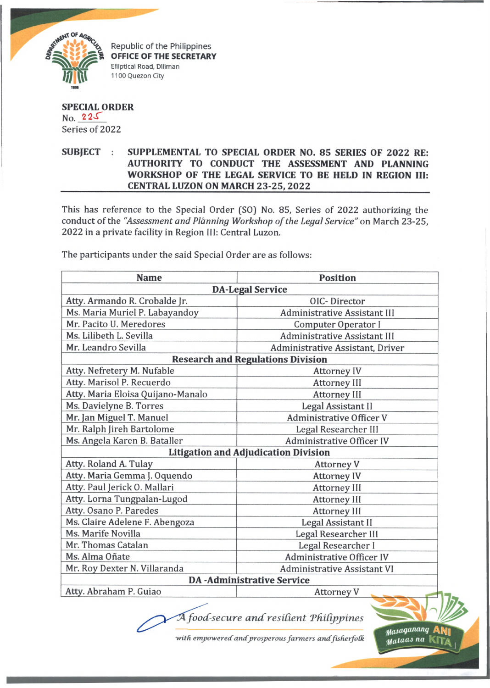

Republic of the Philippines **OFFICE OF THE SECRETARY Elliptical Road, Diliman 1100 Quezon City**

## **SPECIAL ORDER**  $No. 225$ Series of 2022

## **SUBJECT : SUPPLEMENTAL TO SPECIAL ORDER NO. 85 SERIES OF 2022 RE: AUTHORITY TO CONDUCT THE ASSESSMENT AND PLANNING WORKSHOP OF THE LEGAL SERVICE TO BE HELD IN REGION III: \_\_\_\_\_\_\_\_\_\_\_\_\_\_\_\_\_\_\_\_ CENTRAL LUZON ON MARCH 23-25, 2022\_\_\_\_\_\_\_\_\_\_\_\_\_**

This has reference to the Special Order (SO) No. 85, Series of 2022 authorizing the conduct of the "Assessment and Planning Workshop of the Legal Service" on March 23-25, 2022 in a private facility in Region III: Central Luzon.

The participants under the said Special Order are as follows:

| <b>Name</b>                                 | <b>Position</b>                     |  |
|---------------------------------------------|-------------------------------------|--|
| <b>DA-Legal Service</b>                     |                                     |  |
| Atty. Armando R. Crobalde Jr.               | OIC-Director                        |  |
| Ms. Maria Muriel P. Labayandoy              | <b>Administrative Assistant III</b> |  |
| Mr. Pacito U. Meredores                     | Computer Operator I                 |  |
| Ms. Lilibeth L. Sevilla                     | Administrative Assistant III        |  |
| Mr. Leandro Sevilla                         | Administrative Assistant, Driver    |  |
| <b>Research and Regulations Division</b>    |                                     |  |
| Atty. Nefretery M. Nufable                  | <b>Attorney IV</b>                  |  |
| Atty. Marisol P. Recuerdo                   | Attorney III                        |  |
| Atty. Maria Eloisa Quijano-Manalo           | <b>Attorney III</b>                 |  |
| Ms. Davielyne B. Torres                     | Legal Assistant II                  |  |
| Mr. Jan Miguel T. Manuel                    | <b>Administrative Officer V</b>     |  |
| Mr. Ralph Jireh Bartolome                   | Legal Researcher III                |  |
| Ms. Angela Karen B. Bataller                | <b>Administrative Officer IV</b>    |  |
| <b>Litigation and Adjudication Division</b> |                                     |  |
| Atty. Roland A. Tulay                       | <b>Attorney V</b>                   |  |
| Atty. Maria Gemma J. Oquendo                | <b>Attorney IV</b>                  |  |
| Atty. Paul Jerick O. Mallari                | Attorney III                        |  |
| Atty. Lorna Tungpalan-Lugod                 | <b>Attorney III</b>                 |  |
| Atty. Osano P. Paredes                      | Attorney III                        |  |
| Ms. Claire Adelene F. Abengoza              | Legal Assistant II                  |  |
| Ms. Marife Novilla                          | Legal Researcher III                |  |
| Mr. Thomas Catalan                          | Legal Researcher I                  |  |
| Ms. Alma Oñate                              | <b>Administrative Officer IV</b>    |  |
| Mr. Roy Dexter N. Villaranda                | Administrative Assistant VI         |  |
|                                             | <b>DA</b> - Administrative Service  |  |
| Atty. Abraham P. Guiao                      | <b>Attorney V</b>                   |  |
|                                             |                                     |  |

with empowered and prosperous farmers and fisherfolk

 $\overline{A}$  food-secure and resilient Philippines

 $y$ asaganang *g a la a* j *na* **kita**